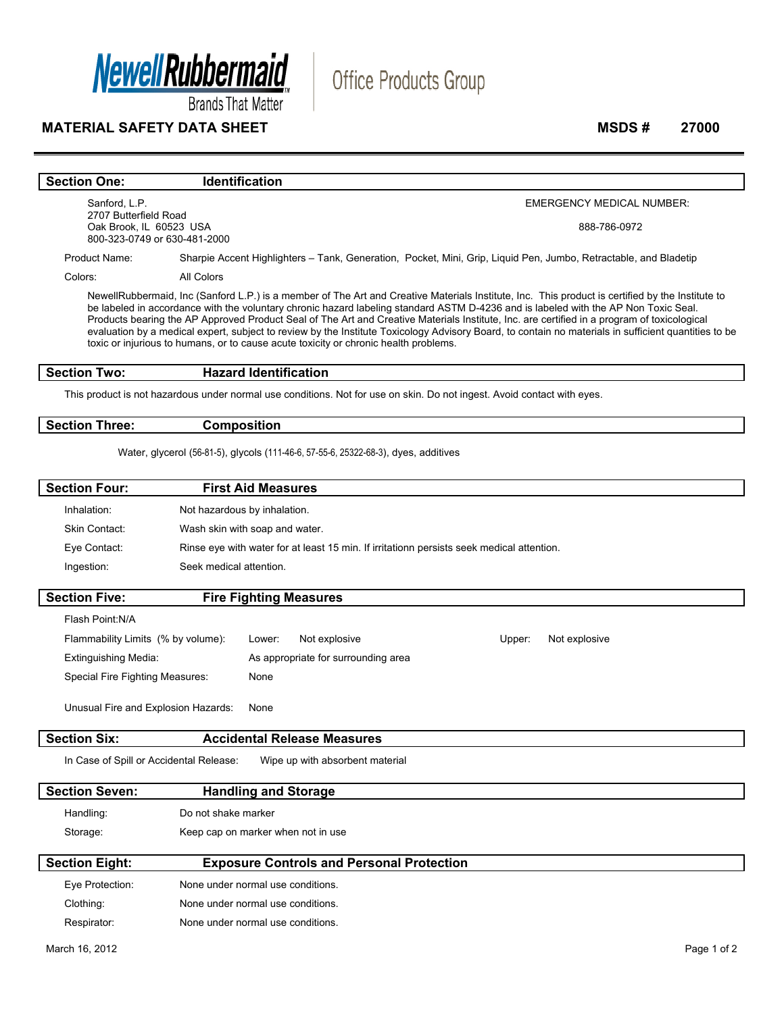

**Brands That Matter** 

### **MATERIAL SAFETY DATA SHEET** MSDS # 27000 **MSDS # 27000**

# Office Products Group

#### **Section One:** Identification

Sanford, L.P. 2707 Butterfield Road Oak Brook, IL 60523 USA 800-323-0749 or 630-481-2000 EMERGENCY MEDICAL NUMBER:

888-786-0972

Product Name: Sharpie Accent Highlighters – Tank, Generation, Pocket, Mini, Grip, Liquid Pen, Jumbo, Retractable, and Bladetip

Colors: All Colors

NewellRubbermaid, Inc (Sanford L.P.) is a member of The Art and Creative Materials Institute, Inc. This product is certified by the Institute to be labeled in accordance with the voluntary chronic hazard labeling standard ASTM D-4236 and is labeled with the AP Non Toxic Seal. Products bearing the AP Approved Product Seal of The Art and Creative Materials Institute, Inc. are certified in a program of toxicological evaluation by a medical expert, subject to review by the Institute Toxicology Advisory Board, to contain no materials in sufficient quantities to be toxic or injurious to humans, or to cause acute toxicity or chronic health problems.

### **Section Two: Hazard Identification**

This product is not hazardous under normal use conditions. Not for use on skin. Do not ingest. Avoid contact with eyes.

**Section Three: Composition** 

Water, glycerol (56-81-5), glycols (111-46-6, 57-55-6, 25322-68-3), dyes, additives

| <b>Section Four:</b> | <b>First Aid Measures</b>                                                                 |
|----------------------|-------------------------------------------------------------------------------------------|
| Inhalation:          | Not hazardous by inhalation.                                                              |
| <b>Skin Contact:</b> | Wash skin with soap and water.                                                            |
| Eye Contact:         | Rinse eye with water for at least 15 min. If irritationn persists seek medical attention. |
| Ingestion:           | Seek medical attention.                                                                   |
|                      |                                                                                           |

| <b>Section Five:</b>                |  | <b>Fire Fighting Measures</b>       |        |               |
|-------------------------------------|--|-------------------------------------|--------|---------------|
| Flash Point:N/A                     |  |                                     |        |               |
| Flammability Limits (% by volume):  |  | Not explosive<br>Lower:             | Upper: | Not explosive |
| <b>Extinguishing Media:</b>         |  | As appropriate for surrounding area |        |               |
| Special Fire Fighting Measures:     |  | None                                |        |               |
| Unusual Fire and Explosion Hazards: |  | None                                |        |               |
| <b>Section Six:</b>                 |  | <b>Accidental Release Measures</b>  |        |               |

In Case of Spill or Accidental Release: Wipe up with absorbent material

| <b>Section Seven:</b> | <b>Handling and Storage</b>        |
|-----------------------|------------------------------------|
| Handling:             | Do not shake marker                |
| Storage:              | Keep cap on marker when not in use |
|                       |                                    |

| <b>Section Eight:</b> | <b>Exposure Controls and Personal Protection</b> |  |
|-----------------------|--------------------------------------------------|--|
| Eye Protection:       | None under normal use conditions.                |  |
| Clothing:             | None under normal use conditions.                |  |
| Respirator:           | None under normal use conditions.                |  |